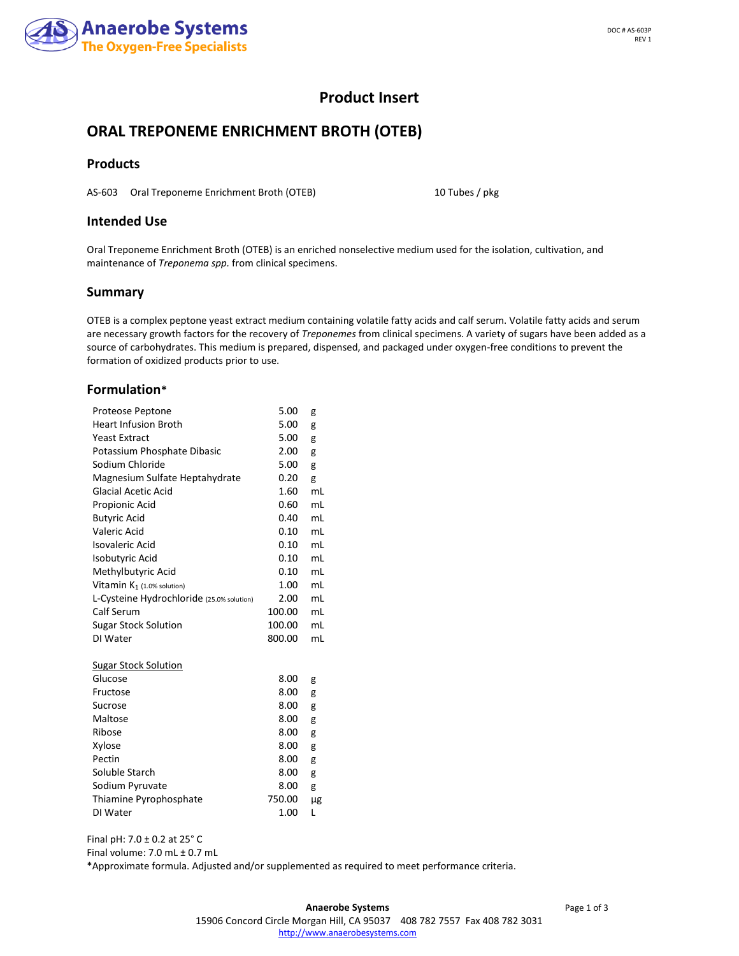

## **Product Insert**

# **ORAL TREPONEME ENRICHMENT BROTH (OTEB)**

#### **Products**

AS-603 Oral Treponeme Enrichment Broth (OTEB) 10 Tubes / pkg

#### **Intended Use**

Oral Treponeme Enrichment Broth (OTEB) is an enriched nonselective medium used for the isolation, cultivation, and maintenance of *Treponema spp.* from clinical specimens.

#### **Summary**

OTEB is a complex peptone yeast extract medium containing volatile fatty acids and calf serum. Volatile fatty acids and serum are necessary growth factors for the recovery of *Treponemes* from clinical specimens. A variety of sugars have been added as a source of carbohydrates. This medium is prepared, dispensed, and packaged under oxygen-free conditions to prevent the formation of oxidized products prior to use.

#### **Formulation\***

| Proteose Peptone                          | 5.00   | g  |
|-------------------------------------------|--------|----|
| <b>Heart Infusion Broth</b>               | 5.00   | g  |
| <b>Yeast Extract</b>                      | 5.00   | g  |
| Potassium Phosphate Dibasic               | 2.00   | g  |
| Sodium Chloride                           | 5.00   | g  |
| Magnesium Sulfate Heptahydrate            | 0.20   | g  |
| <b>Glacial Acetic Acid</b>                | 1.60   | mL |
| Propionic Acid                            | 0.60   | mL |
| <b>Butyric Acid</b>                       | 0.40   | mL |
| <b>Valeric Acid</b>                       | 0.10   | mL |
| <b>Isovaleric Acid</b>                    | 0.10   | mL |
| Isobutyric Acid                           | 0.10   | mL |
| Methylbutyric Acid                        | 0.10   | mL |
| Vitamin K <sub>1</sub> (1.0% solution)    | 1.00   | mL |
| L-Cysteine Hydrochloride (25.0% solution) | 2.00   | mL |
| Calf Serum                                | 100.00 | mL |
| <b>Sugar Stock Solution</b>               | 100.00 | mL |
| DI Water                                  | 800.00 | mL |
|                                           |        |    |
| Sugar Stock Solution                      |        |    |
| Glucose                                   | 8.00   | g  |
| Fructose                                  | 8.00   | g  |
| Sucrose                                   | 8.00   | g  |
| Maltose                                   | 8.00   | g  |
| Ribose                                    | 8.00   | g  |
| Xylose                                    | 8.00   | g  |
| Pectin                                    | 8.00   | g  |
| Soluble Starch                            | 8.00   | g  |
| Sodium Pyruvate                           | 8.00   | g  |
| Thiamine Pyrophosphate                    | 750.00 | μg |
| DI Water                                  | 1.00   | L  |

Final pH: 7.0 ± 0.2 at 25° C

Final volume: 7.0 mL ± 0.7 mL

\*Approximate formula. Adjusted and/or supplemented as required to meet performance criteria.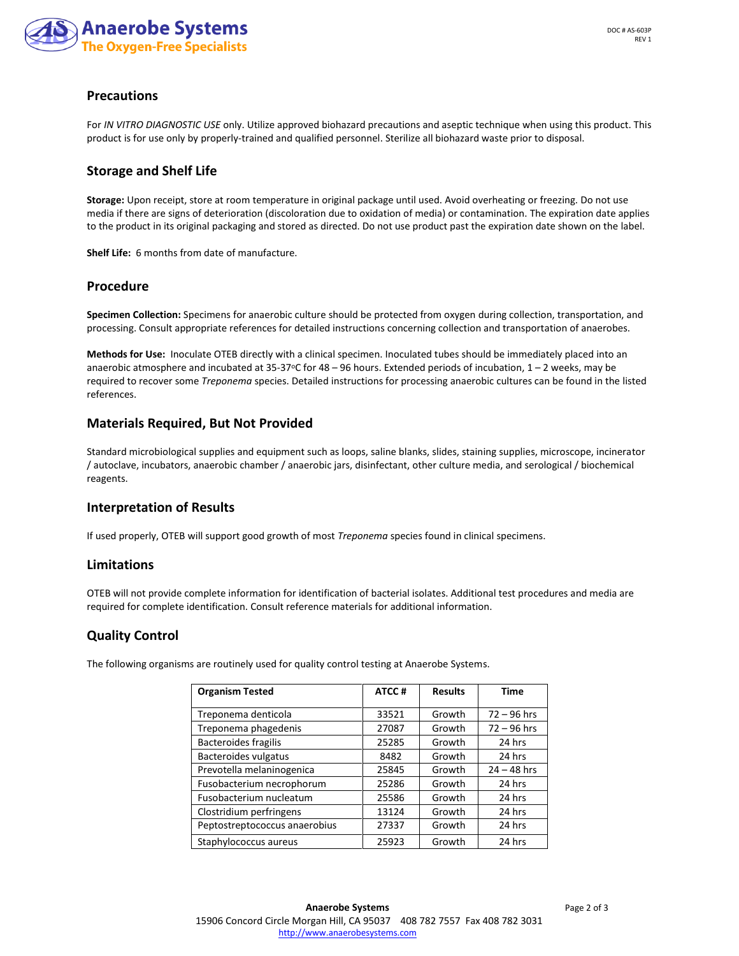

### **Precautions**

For *IN VITRO DIAGNOSTIC USE* only. Utilize approved biohazard precautions and aseptic technique when using this product. This product is for use only by properly-trained and qualified personnel. Sterilize all biohazard waste prior to disposal.

#### **Storage and Shelf Life**

**Storage:** Upon receipt, store at room temperature in original package until used. Avoid overheating or freezing. Do not use media if there are signs of deterioration (discoloration due to oxidation of media) or contamination. The expiration date applies to the product in its original packaging and stored as directed. Do not use product past the expiration date shown on the label.

**Shelf Life:** 6 months from date of manufacture.

#### **Procedure**

**Specimen Collection:** Specimens for anaerobic culture should be protected from oxygen during collection, transportation, and processing. Consult appropriate references for detailed instructions concerning collection and transportation of anaerobes.

**Methods for Use:** Inoculate OTEB directly with a clinical specimen. Inoculated tubes should be immediately placed into an anaerobic atmosphere and incubated at 35-37°C for  $48 - 96$  hours. Extended periods of incubation,  $1 - 2$  weeks, may be required to recover some *Treponema* species. Detailed instructions for processing anaerobic cultures can be found in the listed references.

#### **Materials Required, But Not Provided**

Standard microbiological supplies and equipment such as loops, saline blanks, slides, staining supplies, microscope, incinerator / autoclave, incubators, anaerobic chamber / anaerobic jars, disinfectant, other culture media, and serological / biochemical reagents.

#### **Interpretation of Results**

If used properly, OTEB will support good growth of most *Treponema* species found in clinical specimens.

#### **Limitations**

OTEB will not provide complete information for identification of bacterial isolates. Additional test procedures and media are required for complete identification. Consult reference materials for additional information.

#### **Quality Control**

The following organisms are routinely used for quality control testing at Anaerobe Systems.

| <b>Organism Tested</b>        | ATCC# | <b>Results</b> | <b>Time</b>   |
|-------------------------------|-------|----------------|---------------|
| Treponema denticola           | 33521 | Growth         | $72 - 96$ hrs |
| Treponema phagedenis          | 27087 | Growth         | $72 - 96$ hrs |
| Bacteroides fragilis          | 25285 | Growth         | 24 hrs        |
| Bacteroides vulgatus          | 8482  | Growth         | 24 hrs        |
| Prevotella melaninogenica     | 25845 | Growth         | $24 - 48$ hrs |
| Fusobacterium necrophorum     | 25286 | Growth         | 24 hrs        |
| Fusobacterium nucleatum       | 25586 | Growth         | 24 hrs        |
| Clostridium perfringens       | 13124 | Growth         | 24 hrs        |
| Peptostreptococcus anaerobius | 27337 | Growth         | 24 hrs        |
| Staphylococcus aureus         | 25923 | Growth         | 24 hrs        |